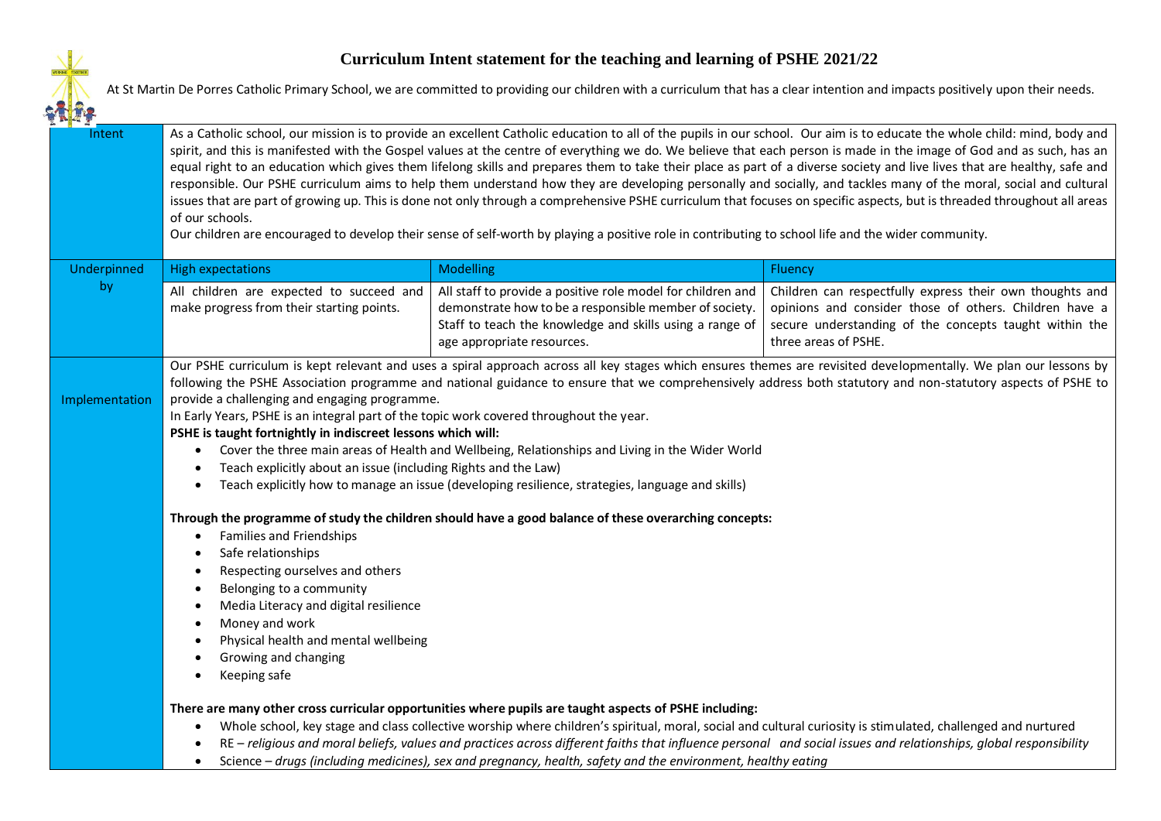## $2 - 1$

## **Curriculum Intent statement for the teaching and learning of PSHE 2021/22**

At St Martin De Porres Catholic Primary School, we are committed to providing our children with a curriculum that has a clear intention and impacts positively upon their needs.

| As a Catholic school, our mission is to provide an excellent Catholic education to all of the pupils in our school. Our aim is to educate the whole child: mind, body and<br>spirit, and this is manifested with the Gospel values at the centre of everything we do. We believe that each person is made in the image of God and as such, has an<br>equal right to an education which gives them lifelong skills and prepares them to take their place as part of a diverse society and live lives that are healthy, safe and<br>responsible. Our PSHE curriculum aims to help them understand how they are developing personally and socially, and tackles many of the moral, social and cultural<br>issues that are part of growing up. This is done not only through a comprehensive PSHE curriculum that focuses on specific aspects, but is threaded throughout all areas<br>of our schools.<br>Our children are encouraged to develop their sense of self-worth by playing a positive role in contributing to school life and the wider community. |  |  |  |  |
|-----------------------------------------------------------------------------------------------------------------------------------------------------------------------------------------------------------------------------------------------------------------------------------------------------------------------------------------------------------------------------------------------------------------------------------------------------------------------------------------------------------------------------------------------------------------------------------------------------------------------------------------------------------------------------------------------------------------------------------------------------------------------------------------------------------------------------------------------------------------------------------------------------------------------------------------------------------------------------------------------------------------------------------------------------------|--|--|--|--|
| Fluency                                                                                                                                                                                                                                                                                                                                                                                                                                                                                                                                                                                                                                                                                                                                                                                                                                                                                                                                                                                                                                                   |  |  |  |  |
| Children can respectfully express their own thoughts and<br>opinions and consider those of others. Children have a<br>demonstrate how to be a responsible member of society.<br>Staff to teach the knowledge and skills using a range of<br>secure understanding of the concepts taught within the<br>three areas of PSHE.                                                                                                                                                                                                                                                                                                                                                                                                                                                                                                                                                                                                                                                                                                                                |  |  |  |  |
| Our PSHE curriculum is kept relevant and uses a spiral approach across all key stages which ensures themes are revisited developmentally. We plan our lessons by<br>following the PSHE Association programme and national guidance to ensure that we comprehensively address both statutory and non-statutory aspects of PSHE to<br>Cover the three main areas of Health and Wellbeing, Relationships and Living in the Wider World<br>Through the programme of study the children should have a good balance of these overarching concepts:<br>There are many other cross curricular opportunities where pupils are taught aspects of PSHE including:<br>Whole school, key stage and class collective worship where children's spiritual, moral, social and cultural curiosity is stimulated, challenged and nurtured<br>RE - religious and moral beliefs, values and practices across different faiths that influence personal and social issues and relationships, global responsibility                                                               |  |  |  |  |
| Science - drugs (including medicines), sex and pregnancy, health, safety and the environment, healthy eating                                                                                                                                                                                                                                                                                                                                                                                                                                                                                                                                                                                                                                                                                                                                                                                                                                                                                                                                              |  |  |  |  |